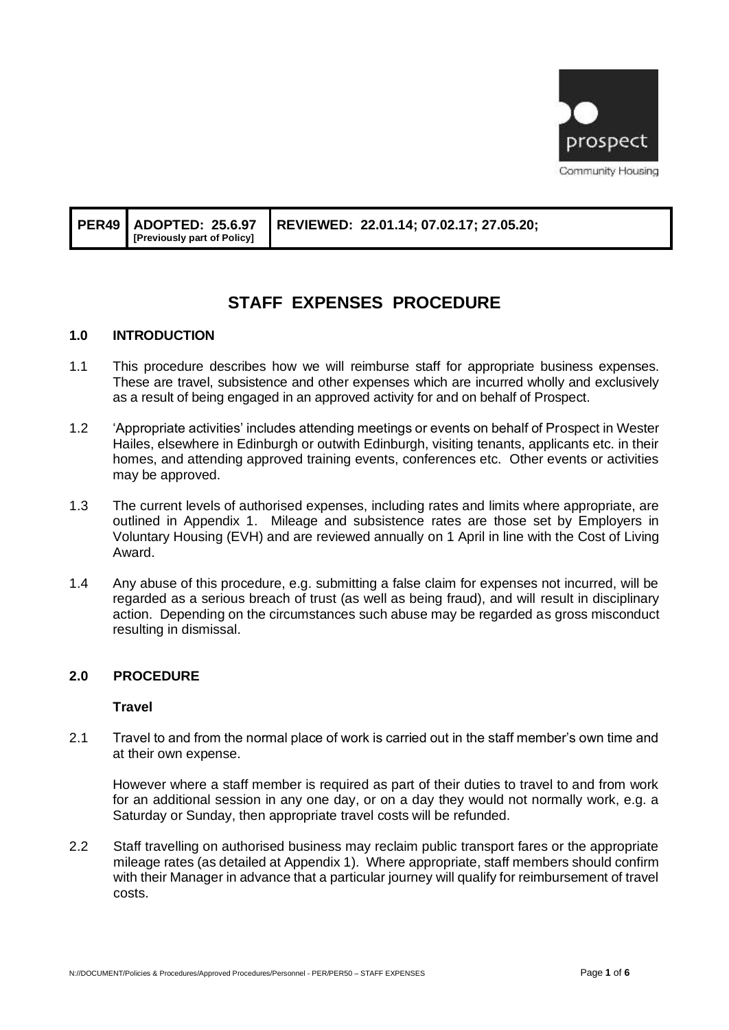

|  | [Previously part of Policy] | PER49   ADOPTED: 25.6.97   REVIEWED: 22.01.14; 07.02.17; 27.05.20; |
|--|-----------------------------|--------------------------------------------------------------------|
|--|-----------------------------|--------------------------------------------------------------------|

# **STAFF EXPENSES PROCEDURE**

## **1.0 INTRODUCTION**

- 1.1 This procedure describes how we will reimburse staff for appropriate business expenses. These are travel, subsistence and other expenses which are incurred wholly and exclusively as a result of being engaged in an approved activity for and on behalf of Prospect.
- 1.2 'Appropriate activities' includes attending meetings or events on behalf of Prospect in Wester Hailes, elsewhere in Edinburgh or outwith Edinburgh, visiting tenants, applicants etc. in their homes, and attending approved training events, conferences etc. Other events or activities may be approved.
- 1.3 The current levels of authorised expenses, including rates and limits where appropriate, are outlined in Appendix 1. Mileage and subsistence rates are those set by Employers in Voluntary Housing (EVH) and are reviewed annually on 1 April in line with the Cost of Living Award.
- 1.4 Any abuse of this procedure, e.g. submitting a false claim for expenses not incurred, will be regarded as a serious breach of trust (as well as being fraud), and will result in disciplinary action. Depending on the circumstances such abuse may be regarded as gross misconduct resulting in dismissal.

#### **2.0 PROCEDURE**

#### **Travel**

2.1 Travel to and from the normal place of work is carried out in the staff member's own time and at their own expense.

However where a staff member is required as part of their duties to travel to and from work for an additional session in any one day, or on a day they would not normally work, e.g. a Saturday or Sunday, then appropriate travel costs will be refunded.

2.2 Staff travelling on authorised business may reclaim public transport fares or the appropriate mileage rates (as detailed at Appendix 1). Where appropriate, staff members should confirm with their Manager in advance that a particular journey will qualify for reimbursement of travel costs.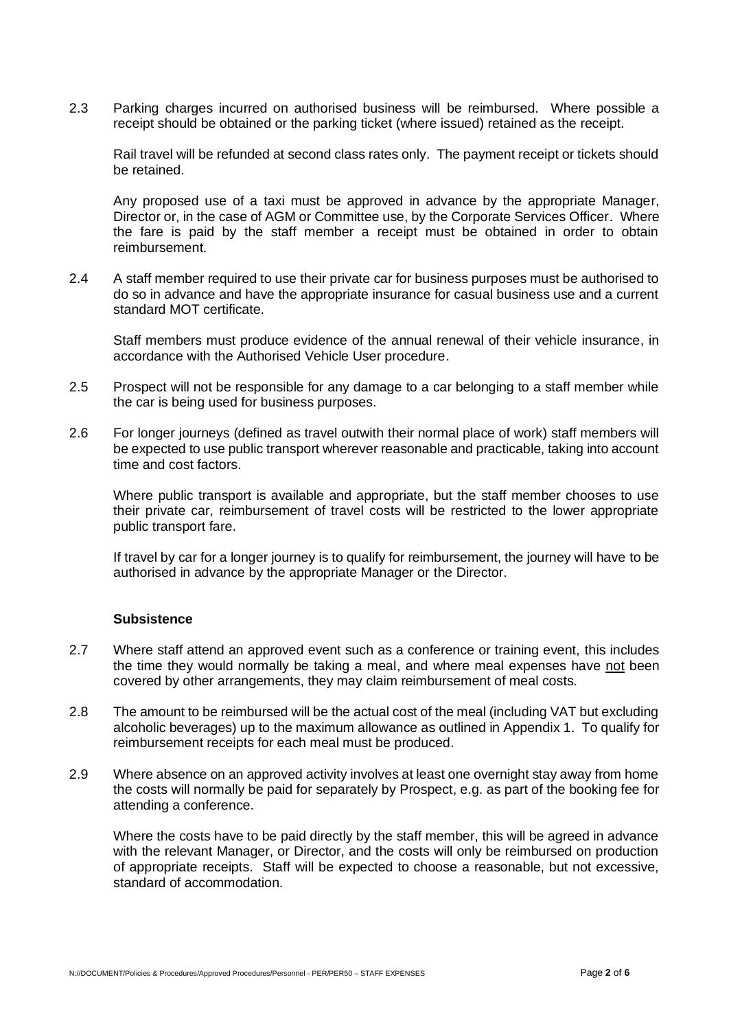2.3 Parking charges incurred on authorised business will be reimbursed. Where possible a receipt should be obtained or the parking ticket (where issued) retained as the receipt.

Rail travel will be refunded at second class rates only. The payment receipt or tickets should be retained.

Any proposed use of a taxi must be approved in advance by the appropriate Manager, Director or, in the case of AGM or Committee use, by the Corporate Services Officer. Where the fare is paid by the staff member a receipt must be obtained in order to obtain reimbursement.

2.4 A staff member required to use their private car for business purposes must be authorised to do so in advance and have the appropriate insurance for casual business use and a current standard MOT certificate.

Staff members must produce evidence of the annual renewal of their vehicle insurance, in accordance with the Authorised Vehicle User procedure.

- 2.5 Prospect will not be responsible for any damage to a car belonging to a staff member while the car is being used for business purposes.
- 2.6 For longer journeys (defined as travel outwith their normal place of work) staff members will be expected to use public transport wherever reasonable and practicable, taking into account time and cost factors.

Where public transport is available and appropriate, but the staff member chooses to use their private car, reimbursement of travel costs will be restricted to the lower appropriate public transport fare.

If travel by car for a longer journey is to qualify for reimbursement, the journey will have to be authorised in advance by the appropriate Manager or the Director.

#### **Subsistence**

- 2.7 Where staff attend an approved event such as a conference or training event, this includes the time they would normally be taking a meal, and where meal expenses have not been covered by other arrangements, they may claim reimbursement of meal costs.
- 2.8 The amount to be reimbursed will be the actual cost of the meal (including VAT but excluding alcoholic beverages) up to the maximum allowance as outlined in Appendix 1. To qualify for reimbursement receipts for each meal must be produced.
- 2.9 Where absence on an approved activity involves at least one overnight stay away from home the costs will normally be paid for separately by Prospect, e.g. as part of the booking fee for attending a conference.

Where the costs have to be paid directly by the staff member, this will be agreed in advance with the relevant Manager, or Director, and the costs will only be reimbursed on production of appropriate receipts. Staff will be expected to choose a reasonable, but not excessive, standard of accommodation.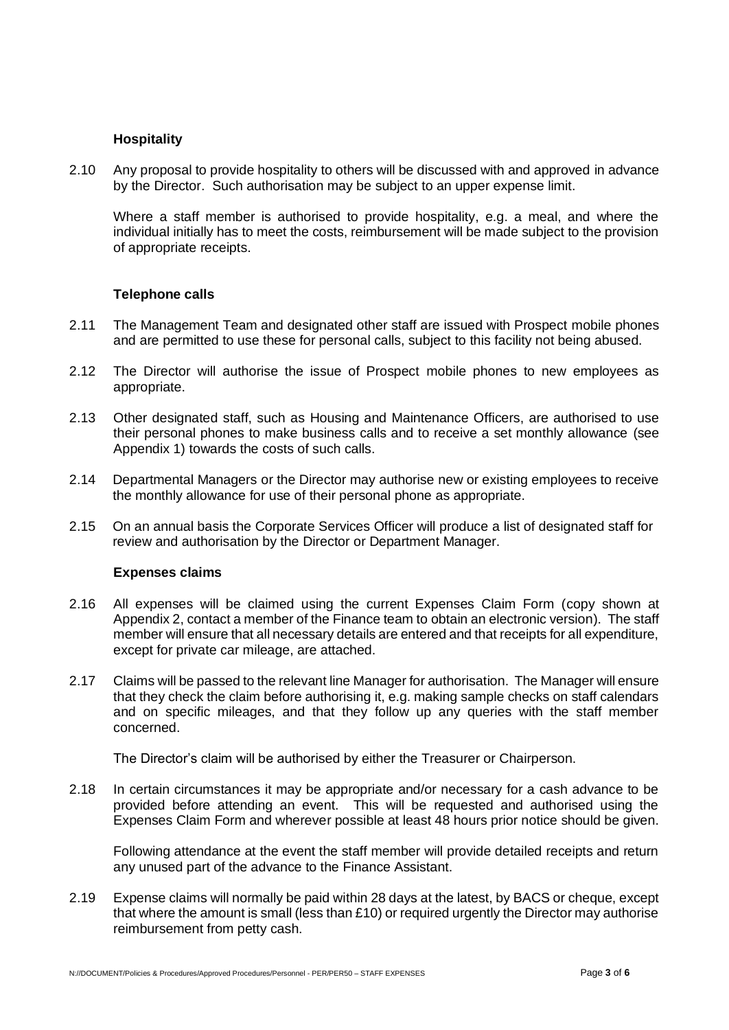#### **Hospitality**

2.10 Any proposal to provide hospitality to others will be discussed with and approved in advance by the Director. Such authorisation may be subject to an upper expense limit.

Where a staff member is authorised to provide hospitality, e.g. a meal, and where the individual initially has to meet the costs, reimbursement will be made subject to the provision of appropriate receipts.

#### **Telephone calls**

- 2.11 The Management Team and designated other staff are issued with Prospect mobile phones and are permitted to use these for personal calls, subject to this facility not being abused.
- 2.12 The Director will authorise the issue of Prospect mobile phones to new employees as appropriate.
- 2.13 Other designated staff, such as Housing and Maintenance Officers, are authorised to use their personal phones to make business calls and to receive a set monthly allowance (see Appendix 1) towards the costs of such calls.
- 2.14 Departmental Managers or the Director may authorise new or existing employees to receive the monthly allowance for use of their personal phone as appropriate.
- 2.15 On an annual basis the Corporate Services Officer will produce a list of designated staff for review and authorisation by the Director or Department Manager.

#### **Expenses claims**

- 2.16 All expenses will be claimed using the current Expenses Claim Form (copy shown at Appendix 2, contact a member of the Finance team to obtain an electronic version). The staff member will ensure that all necessary details are entered and that receipts for all expenditure, except for private car mileage, are attached.
- 2.17 Claims will be passed to the relevant line Manager for authorisation. The Manager will ensure that they check the claim before authorising it, e.g. making sample checks on staff calendars and on specific mileages, and that they follow up any queries with the staff member concerned.

The Director's claim will be authorised by either the Treasurer or Chairperson.

2.18 In certain circumstances it may be appropriate and/or necessary for a cash advance to be provided before attending an event. This will be requested and authorised using the Expenses Claim Form and wherever possible at least 48 hours prior notice should be given.

Following attendance at the event the staff member will provide detailed receipts and return any unused part of the advance to the Finance Assistant.

2.19 Expense claims will normally be paid within 28 days at the latest, by BACS or cheque, except that where the amount is small (less than £10) or required urgently the Director may authorise reimbursement from petty cash.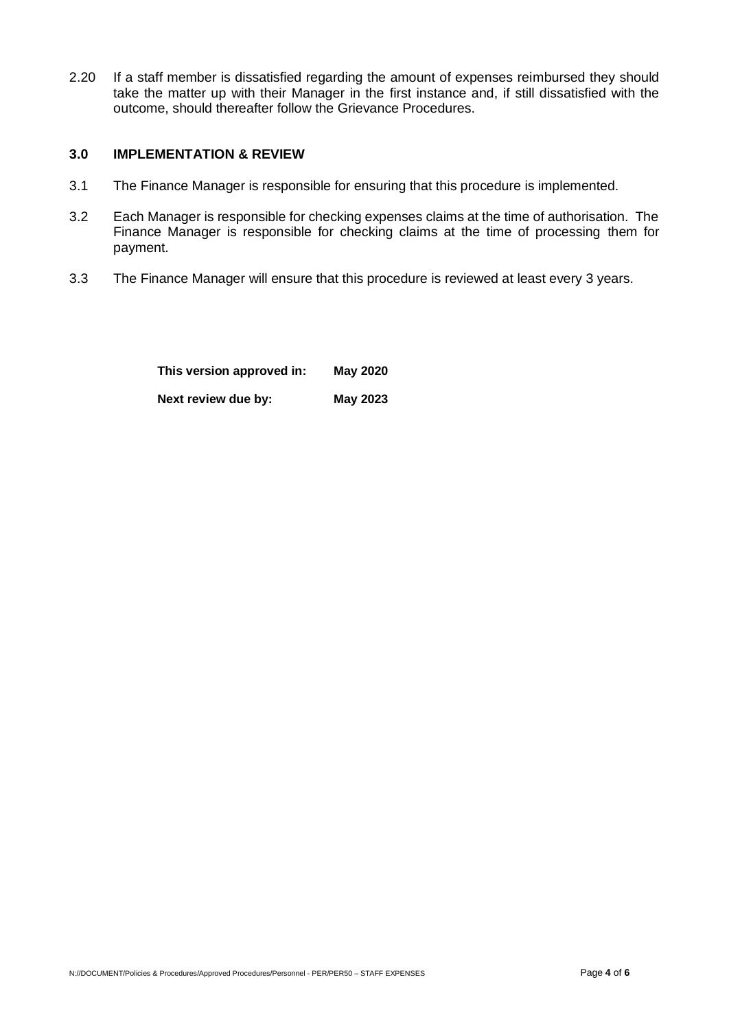2.20 If a staff member is dissatisfied regarding the amount of expenses reimbursed they should take the matter up with their Manager in the first instance and, if still dissatisfied with the outcome, should thereafter follow the Grievance Procedures.

## **3.0 IMPLEMENTATION & REVIEW**

- 3.1 The Finance Manager is responsible for ensuring that this procedure is implemented.
- 3.2 Each Manager is responsible for checking expenses claims at the time of authorisation. The Finance Manager is responsible for checking claims at the time of processing them for payment.
- 3.3 The Finance Manager will ensure that this procedure is reviewed at least every 3 years.

| This version approved in: | <b>May 2020</b> |  |  |  |
|---------------------------|-----------------|--|--|--|
| Next review due by:       | May 2023        |  |  |  |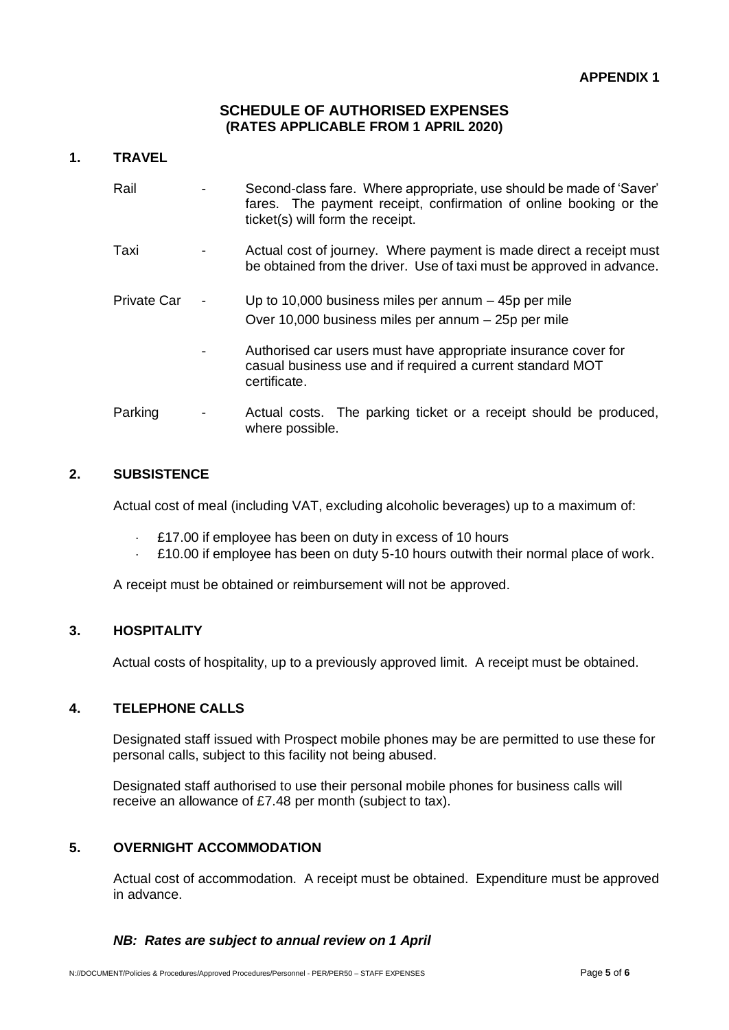## **SCHEDULE OF AUTHORISED EXPENSES (RATES APPLICABLE FROM 1 APRIL 2020)**

## **1. TRAVEL**

| Rail        | Second-class fare. Where appropriate, use should be made of 'Saver'<br>fares. The payment receipt, confirmation of online booking or the<br>ticket(s) will form the receipt. |
|-------------|------------------------------------------------------------------------------------------------------------------------------------------------------------------------------|
| Taxi        | Actual cost of journey. Where payment is made direct a receipt must<br>be obtained from the driver. Use of taxi must be approved in advance.                                 |
| Private Car | Up to 10,000 business miles per annum $-$ 45p per mile<br>Over 10,000 business miles per annum - 25p per mile                                                                |
|             | Authorised car users must have appropriate insurance cover for<br>casual business use and if required a current standard MOT<br>certificate.                                 |
| Parking     | Actual costs. The parking ticket or a receipt should be produced,<br>where possible.                                                                                         |

# **2. SUBSISTENCE**

Actual cost of meal (including VAT, excluding alcoholic beverages) up to a maximum of:

- £17.00 if employee has been on duty in excess of 10 hours
- £10.00 if employee has been on duty 5-10 hours outwith their normal place of work.

A receipt must be obtained or reimbursement will not be approved.

## **3. HOSPITALITY**

Actual costs of hospitality, up to a previously approved limit. A receipt must be obtained.

## **4. TELEPHONE CALLS**

Designated staff issued with Prospect mobile phones may be are permitted to use these for personal calls, subject to this facility not being abused.

Designated staff authorised to use their personal mobile phones for business calls will receive an allowance of £7.48 per month (subject to tax).

## **5. OVERNIGHT ACCOMMODATION**

Actual cost of accommodation. A receipt must be obtained. Expenditure must be approved in advance.

## *NB: Rates are subject to annual review on 1 April*